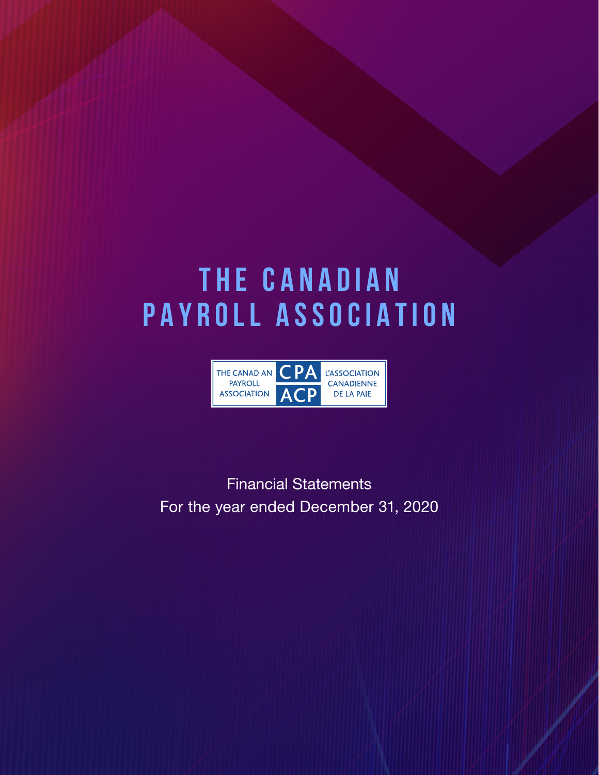# **T H E C A N A D I A N PAYROLL A SSOCI A TION**



Financial Statements For the year ended December 31, 2020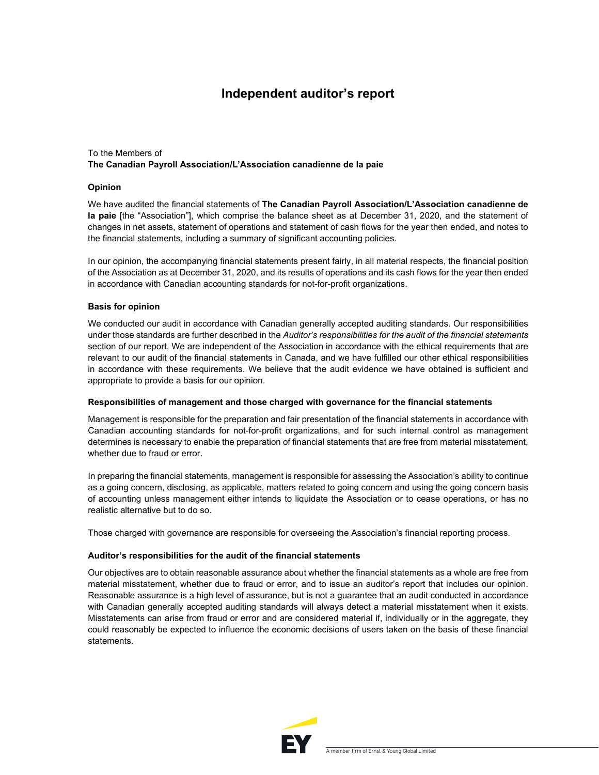## **Independent auditor's report**

#### To the Members of **The Canadian Payroll Association/L'Association canadienne de la paie**

#### **Opinion**

We have audited the financial statements of **The Canadian Payroll Association/L'Association canadienne de la paie** [the "Association"], which comprise the balance sheet as at December 31, 2020, and the statement of changes in net assets, statement of operations and statement of cash flows for the year then ended, and notes to the financial statements, including a summary of significant accounting policies.

In our opinion, the accompanying financial statements present fairly, in all material respects, the financial position of the Association as at December 31, 2020, and its results of operations and its cash flows for the year then ended in accordance with Canadian accounting standards for not-for-profit organizations.

#### **Basis for opinion**

We conducted our audit in accordance with Canadian generally accepted auditing standards. Our responsibilities under those standards are further described in the *Auditor's responsibilities for the audit of the financial statements*  section of our report. We are independent of the Association in accordance with the ethical requirements that are relevant to our audit of the financial statements in Canada, and we have fulfilled our other ethical responsibilities in accordance with these requirements. We believe that the audit evidence we have obtained is sufficient and appropriate to provide a basis for our opinion.

#### **Responsibilities of management and those charged with governance for the financial statements**

Management is responsible for the preparation and fair presentation of the financial statements in accordance with Canadian accounting standards for not-for-profit organizations, and for such internal control as management determines is necessary to enable the preparation of financial statements that are free from material misstatement, whether due to fraud or error.

In preparing the financial statements, management is responsible for assessing the Association's ability to continue as a going concern, disclosing, as applicable, matters related to going concern and using the going concern basis of accounting unless management either intends to liquidate the Association or to cease operations, or has no realistic alternative but to do so.

Those charged with governance are responsible for overseeing the Association's financial reporting process.

#### **Auditor's responsibilities for the audit of the financial statements**

Our objectives are to obtain reasonable assurance about whether the financial statements as a whole are free from material misstatement, whether due to fraud or error, and to issue an auditor's report that includes our opinion. Reasonable assurance is a high level of assurance, but is not a guarantee that an audit conducted in accordance with Canadian generally accepted auditing standards will always detect a material misstatement when it exists. Misstatements can arise from fraud or error and are considered material if, individually or in the aggregate, they could reasonably be expected to influence the economic decisions of users taken on the basis of these financial statements.

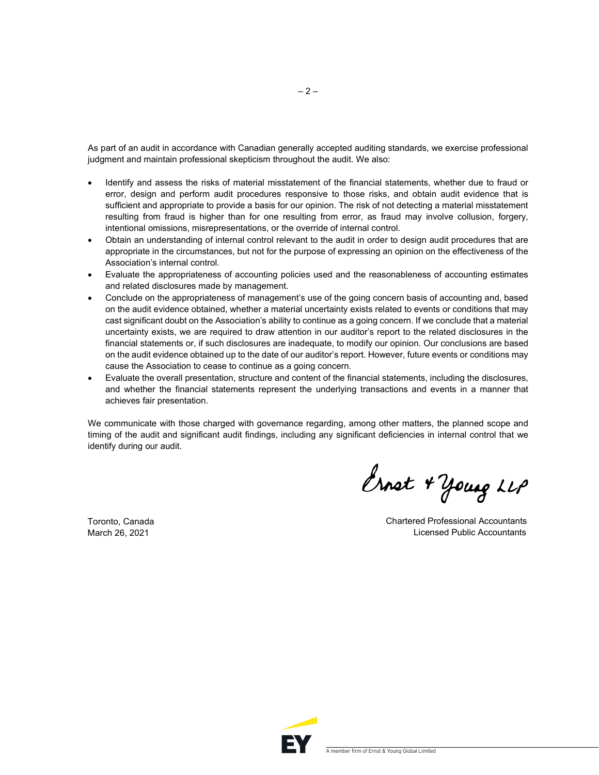As part of an audit in accordance with Canadian generally accepted auditing standards, we exercise professional judgment and maintain professional skepticism throughout the audit. We also:

- Identify and assess the risks of material misstatement of the financial statements, whether due to fraud or error, design and perform audit procedures responsive to those risks, and obtain audit evidence that is sufficient and appropriate to provide a basis for our opinion. The risk of not detecting a material misstatement resulting from fraud is higher than for one resulting from error, as fraud may involve collusion, forgery, intentional omissions, misrepresentations, or the override of internal control.
- Obtain an understanding of internal control relevant to the audit in order to design audit procedures that are appropriate in the circumstances, but not for the purpose of expressing an opinion on the effectiveness of the Association's internal control.
- Evaluate the appropriateness of accounting policies used and the reasonableness of accounting estimates and related disclosures made by management.
- Conclude on the appropriateness of management's use of the going concern basis of accounting and, based on the audit evidence obtained, whether a material uncertainty exists related to events or conditions that may cast significant doubt on the Association's ability to continue as a going concern. If we conclude that a material uncertainty exists, we are required to draw attention in our auditor's report to the related disclosures in the financial statements or, if such disclosures are inadequate, to modify our opinion. Our conclusions are based on the audit evidence obtained up to the date of our auditor's report. However, future events or conditions may cause the Association to cease to continue as a going concern.
- Evaluate the overall presentation, structure and content of the financial statements, including the disclosures, and whether the financial statements represent the underlying transactions and events in a manner that achieves fair presentation.

We communicate with those charged with governance regarding, among other matters, the planned scope and timing of the audit and significant audit findings, including any significant deficiencies in internal control that we identify during our audit.

Ernet + Young LLP

Toronto, Canada Chartered Professional Accountants March 26, 2021 Licensed Public Accountants

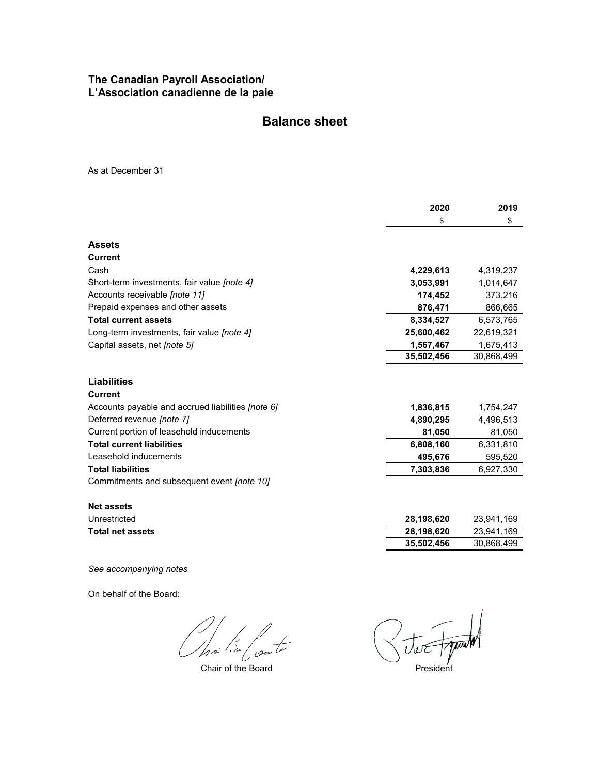## **Balance sheet**

As at December 31

|                                                          | 2020       | 2019       |
|----------------------------------------------------------|------------|------------|
|                                                          | \$         | \$         |
| <b>Assets</b>                                            |            |            |
| <b>Current</b>                                           |            |            |
| Cash                                                     | 4,229,613  | 4,319,237  |
| Short-term investments, fair value <i>Inote 41</i>       | 3,053,991  | 1,014,647  |
| Accounts receivable [note 11]                            | 174,452    | 373,216    |
| Prepaid expenses and other assets                        | 876,471    | 866,665    |
| <b>Total current assets</b>                              | 8,334,527  | 6,573,765  |
| Long-term investments, fair value [note 4]               | 25,600,462 | 22,619,321 |
| Capital assets, net <i>Inote</i> 57                      | 1,567,467  | 1,675,413  |
|                                                          | 35,502,456 | 30,868,499 |
|                                                          |            |            |
| Liabilities                                              |            |            |
| <b>Current</b>                                           |            |            |
| Accounts payable and accrued liabilities <i>[note 6]</i> | 1,836,815  | 1,754,247  |
| Deferred revenue <i>[note 7]</i>                         | 4,890,295  | 4,496,513  |
| Current portion of leasehold inducements                 | 81,050     | 81,050     |
| <b>Total current liabilities</b>                         | 6,808,160  | 6,331,810  |
| Leasehold inducements                                    | 495,676    | 595,520    |
| <b>Total liabilities</b>                                 | 7,303,836  | 6,927,330  |
| Commitments and subsequent event [note 10]               |            |            |
| <b>Net assets</b>                                        |            |            |
| Unrestricted                                             | 28,198,620 | 23,941,169 |

**Total net assets** 28,198,620 23,941,169  **35,502,456** 30,868,499

*See accompanying notes*

On behalf of the Board:

 $\frac{1}{\sqrt{h^2}}$   $\frac{1}{h^2}$   $\frac{1}{h^2}$   $\frac{1}{h^2}$   $\frac{1}{h^2}$   $\frac{1}{h^2}$   $\frac{1}{h^2}$   $\frac{1}{h^2}$   $\frac{1}{h^2}$   $\frac{1}{h^2}$   $\frac{1}{h^2}$   $\frac{1}{h^2}$   $\frac{1}{h^2}$   $\frac{1}{h^2}$   $\frac{1}{h^2}$   $\frac{1}{h^2}$   $\frac{1}{h^2}$   $\frac{1}{h^2}$   $\$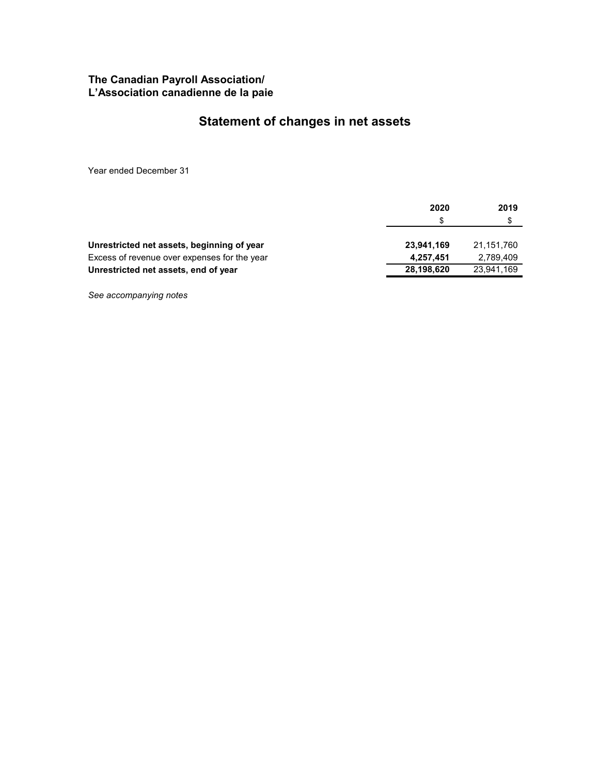# **Statement of changes in net assets**

Year ended December 31

|                                              | 2020       | 2019       |
|----------------------------------------------|------------|------------|
|                                              | S          | \$         |
| Unrestricted net assets, beginning of year   | 23,941,169 | 21.151.760 |
| Excess of revenue over expenses for the year | 4,257,451  | 2,789,409  |
| Unrestricted net assets, end of year         | 28,198,620 | 23,941,169 |

*See accompanying notes*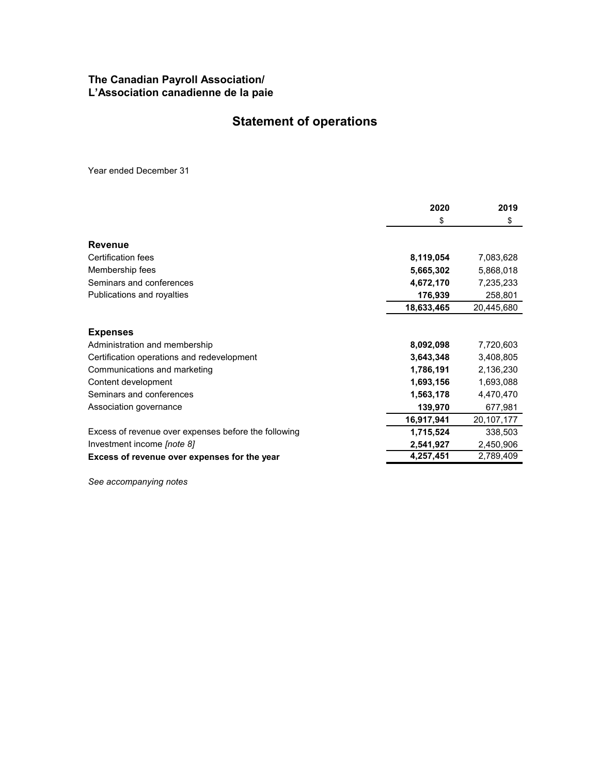# **Statement of operations**

Year ended December 31

|                                                      | 2020       | 2019       |
|------------------------------------------------------|------------|------------|
|                                                      | \$         | \$         |
| Revenue                                              |            |            |
| <b>Certification fees</b>                            | 8,119,054  | 7,083,628  |
| Membership fees                                      | 5,665,302  | 5,868,018  |
| Seminars and conferences                             | 4,672,170  | 7,235,233  |
| Publications and royalties                           | 176,939    | 258,801    |
|                                                      | 18,633,465 | 20,445,680 |
| <b>Expenses</b>                                      |            |            |
| Administration and membership                        | 8,092,098  | 7,720,603  |
| Certification operations and redevelopment           | 3,643,348  | 3,408,805  |
| Communications and marketing                         | 1,786,191  | 2,136,230  |
| Content development                                  | 1,693,156  | 1,693,088  |
| Seminars and conferences                             | 1,563,178  | 4,470,470  |
| Association governance                               | 139,970    | 677,981    |
|                                                      | 16,917,941 | 20,107,177 |
| Excess of revenue over expenses before the following | 1,715,524  | 338,503    |
| Investment income <i>[note 8]</i>                    | 2,541,927  | 2,450,906  |
| Excess of revenue over expenses for the year         | 4,257,451  | 2,789,409  |
|                                                      |            |            |

*See accompanying notes*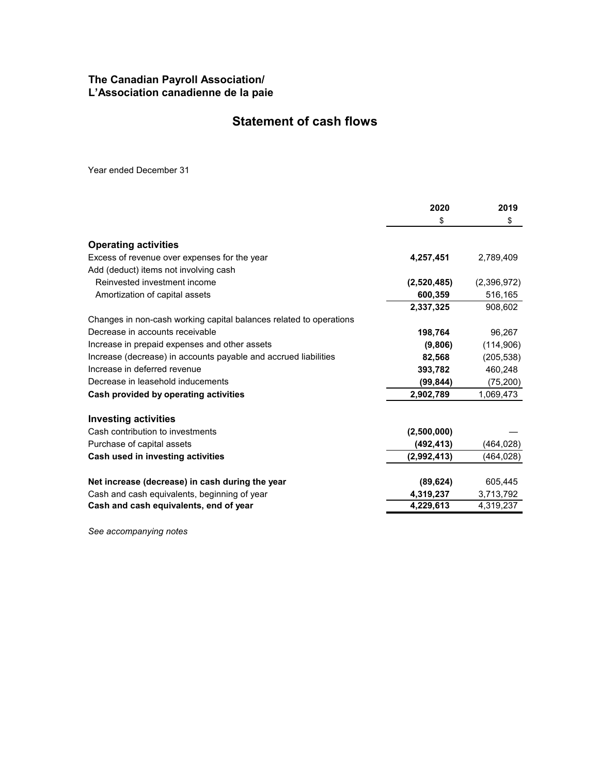## **Statement of cash flows**

Year ended December 31

|                                                                    | 2020        | 2019        |
|--------------------------------------------------------------------|-------------|-------------|
|                                                                    | \$          | \$          |
| <b>Operating activities</b>                                        |             |             |
| Excess of revenue over expenses for the year                       | 4,257,451   | 2,789,409   |
| Add (deduct) items not involving cash                              |             |             |
| Reinvested investment income                                       | (2,520,485) | (2,396,972) |
| Amortization of capital assets                                     | 600,359     | 516,165     |
|                                                                    | 2,337,325   | 908,602     |
| Changes in non-cash working capital balances related to operations |             |             |
| Decrease in accounts receivable                                    | 198,764     | 96,267      |
| Increase in prepaid expenses and other assets                      | (9,806)     | (114, 906)  |
| Increase (decrease) in accounts payable and accrued liabilities    | 82,568      | (205, 538)  |
| Increase in deferred revenue                                       | 393,782     | 460,248     |
| Decrease in leasehold inducements                                  | (99, 844)   | (75, 200)   |
| Cash provided by operating activities                              | 2,902,789   | 1,069,473   |
| <b>Investing activities</b>                                        |             |             |
| Cash contribution to investments                                   | (2,500,000) |             |
| Purchase of capital assets                                         | (492,413)   | (464,028)   |
| Cash used in investing activities                                  | (2,992,413) | (464,028)   |
| Net increase (decrease) in cash during the year                    | (89, 624)   | 605,445     |
| Cash and cash equivalents, beginning of year                       | 4,319,237   | 3,713,792   |
| Cash and cash equivalents, end of year                             | 4,229,613   | 4,319,237   |

*See accompanying notes*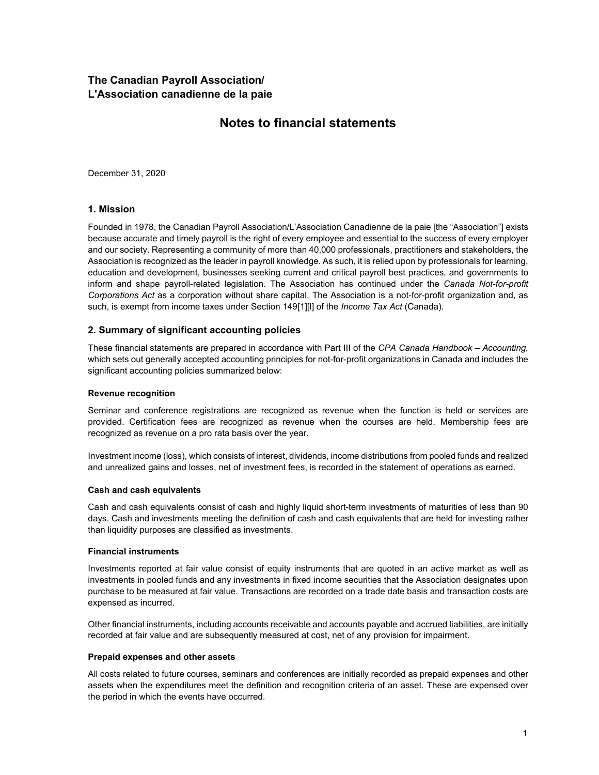## **Notes to financial statements**

December 31, 2020

#### **1. Mission**

Founded in 1978, the Canadian Payroll Association/L'Association Canadienne de la paie [the "Association"] exists because accurate and timely payroll is the right of every employee and essential to the success of every employer and our society. Representing a community of more than 40,000 professionals, practitioners and stakeholders, the Association is recognized as the leader in payroll knowledge. As such, it is relied upon by professionals for learning, education and development, businesses seeking current and critical payroll best practices, and governments to inform and shape payroll-related legislation. The Association has continued under the *Canada Not-for-profit Corporations Act* as a corporation without share capital. The Association is a not-for-profit organization and, as such, is exempt from income taxes under Section 149[1][l] of the *Income Tax Act* (Canada).

## **2. Summary of significant accounting policies**

These financial statements are prepared in accordance with Part III of the *CPA Canada Handbook – Accounting*, which sets out generally accepted accounting principles for not-for-profit organizations in Canada and includes the significant accounting policies summarized below:

#### **Revenue recognition**

Seminar and conference registrations are recognized as revenue when the function is held or services are provided. Certification fees are recognized as revenue when the courses are held. Membership fees are recognized as revenue on a pro rata basis over the year.

Investment income (loss), which consists of interest, dividends, income distributions from pooled funds and realized and unrealized gains and losses, net of investment fees, is recorded in the statement of operations as earned.

#### **Cash and cash equivalents**

Cash and cash equivalents consist of cash and highly liquid short-term investments of maturities of less than 90 days. Cash and investments meeting the definition of cash and cash equivalents that are held for investing rather than liquidity purposes are classified as investments.

#### **Financial instruments**

Investments reported at fair value consist of equity instruments that are quoted in an active market as well as investments in pooled funds and any investments in fixed income securities that the Association designates upon purchase to be measured at fair value. Transactions are recorded on a trade date basis and transaction costs are expensed as incurred.

Other financial instruments, including accounts receivable and accounts payable and accrued liabilities, are initially recorded at fair value and are subsequently measured at cost, net of any provision for impairment.

#### **Prepaid expenses and other assets**

All costs related to future courses, seminars and conferences are initially recorded as prepaid expenses and other assets when the expenditures meet the definition and recognition criteria of an asset. These are expensed over the period in which the events have occurred.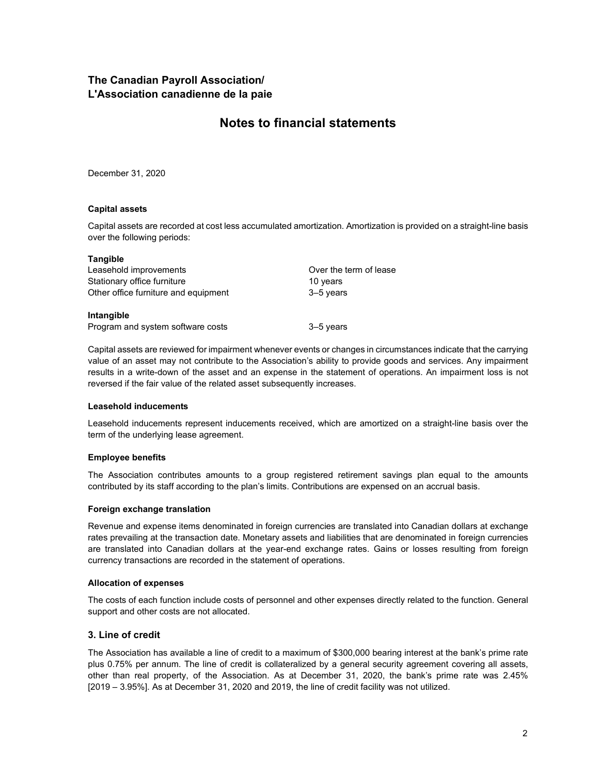## **Notes to financial statements**

December 31, 2020

#### **Capital assets**

Capital assets are recorded at cost less accumulated amortization. Amortization is provided on a straight-line basis over the following periods:

| <b>Tangible</b>                      |                        |
|--------------------------------------|------------------------|
| Leasehold improvements               | Over the term of lease |
| Stationary office furniture          | 10 years               |
| Other office furniture and equipment | $3-5$ years            |
| Intangible                           |                        |
| Program and system software costs    | 3–5 years              |

Capital assets are reviewed for impairment whenever events or changes in circumstances indicate that the carrying value of an asset may not contribute to the Association's ability to provide goods and services. Any impairment results in a write-down of the asset and an expense in the statement of operations. An impairment loss is not reversed if the fair value of the related asset subsequently increases.

#### **Leasehold inducements**

Leasehold inducements represent inducements received, which are amortized on a straight-line basis over the term of the underlying lease agreement.

## **Employee benefits**

The Association contributes amounts to a group registered retirement savings plan equal to the amounts contributed by its staff according to the plan's limits. Contributions are expensed on an accrual basis.

#### **Foreign exchange translation**

Revenue and expense items denominated in foreign currencies are translated into Canadian dollars at exchange rates prevailing at the transaction date. Monetary assets and liabilities that are denominated in foreign currencies are translated into Canadian dollars at the year-end exchange rates. Gains or losses resulting from foreign currency transactions are recorded in the statement of operations.

#### **Allocation of expenses**

The costs of each function include costs of personnel and other expenses directly related to the function. General support and other costs are not allocated.

## **3. Line of credit**

The Association has available a line of credit to a maximum of \$300,000 bearing interest at the bank's prime rate plus 0.75% per annum. The line of credit is collateralized by a general security agreement covering all assets, other than real property, of the Association. As at December 31, 2020, the bank's prime rate was 2.45% [2019 – 3.95%]. As at December 31, 2020 and 2019, the line of credit facility was not utilized.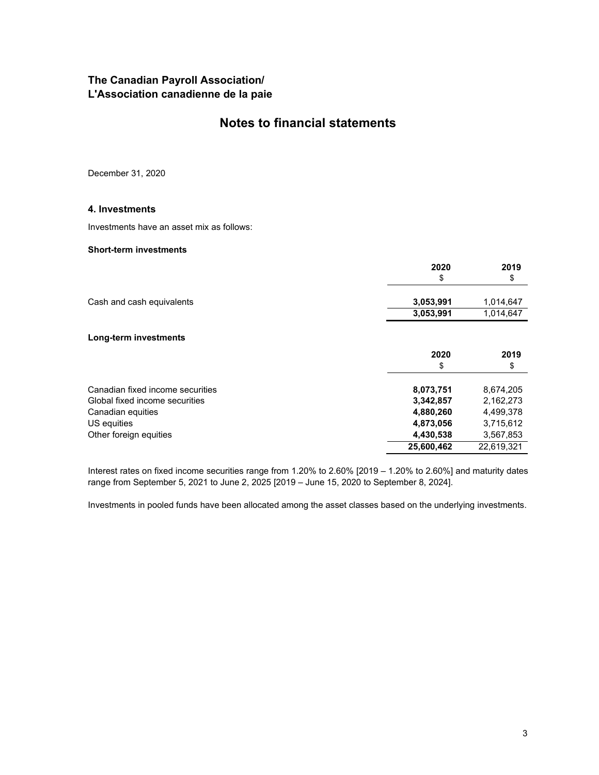## **Notes to financial statements**

December 31, 2020

## **4. Investments**

Investments have an asset mix as follows:

#### **Short-term investments**

|                                  | 2020<br>\$ | 2019<br>\$ |
|----------------------------------|------------|------------|
| Cash and cash equivalents        | 3,053,991  | 1,014,647  |
|                                  | 3,053,991  | 1,014,647  |
| Long-term investments            |            |            |
|                                  | 2020<br>\$ | 2019<br>\$ |
| Canadian fixed income securities | 8,073,751  | 8,674,205  |
| Global fixed income securities   | 3,342,857  | 2,162,273  |
| Canadian equities                | 4,880,260  | 4,499,378  |
| US equities                      | 4,873,056  | 3,715,612  |
| Other foreign equities           | 4,430,538  | 3,567,853  |
|                                  | 25,600,462 | 22,619,321 |

Interest rates on fixed income securities range from 1.20% to 2.60% [2019 – 1.20% to 2.60%] and maturity dates range from September 5, 2021 to June 2, 2025 [2019 – June 15, 2020 to September 8, 2024].

Investments in pooled funds have been allocated among the asset classes based on the underlying investments.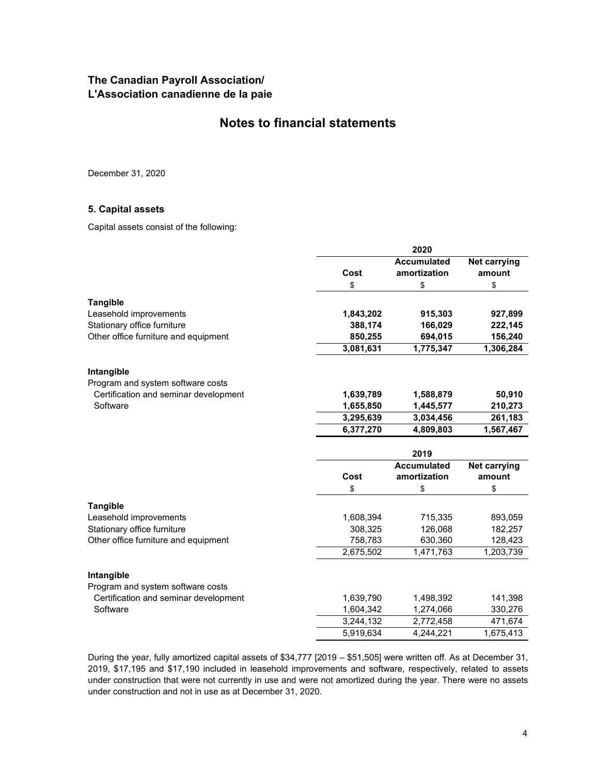## **Notes to financial statements**

December 31, 2020

## **5. Capital assets**

Capital assets consist of the following:

|                                       |           | 2020                               |                               |
|---------------------------------------|-----------|------------------------------------|-------------------------------|
|                                       | Cost      | <b>Accumulated</b><br>amortization | <b>Net carrying</b><br>amount |
|                                       | \$        | \$                                 | \$                            |
| <b>Tangible</b>                       |           |                                    |                               |
| Leasehold improvements                | 1,843,202 | 915,303                            | 927,899                       |
| Stationary office furniture           | 388,174   | 166,029                            | 222,145                       |
| Other office furniture and equipment  | 850,255   | 694,015                            | 156,240                       |
|                                       | 3,081,631 | 1,775,347                          | 1,306,284                     |
| Intangible                            |           |                                    |                               |
| Program and system software costs     |           |                                    |                               |
| Certification and seminar development | 1,639,789 | 1,588,879                          | 50,910                        |
| Software                              | 1,655,850 | 1,445,577                          | 210,273                       |
|                                       | 3,295,639 | 3,034,456                          | 261,183                       |
|                                       | 6,377,270 | 4,809,803                          | 1,567,467                     |
|                                       |           | 2019                               |                               |
|                                       |           | <b>Accumulated</b>                 | <b>Net carrying</b>           |
|                                       | Cost      | amortization                       | amount                        |
|                                       | \$        | \$                                 | \$                            |
| <b>Tangible</b>                       |           |                                    |                               |
| Leasehold improvements                | 1,608,394 | 715,335                            | 893,059                       |
| Stationary office furniture           | 308,325   | 126,068                            | 182,257                       |
| Other office furniture and equipment  | 758,783   | 630,360                            | 128,423                       |
|                                       | 2,675,502 | 1,471,763                          | 1,203,739                     |
| Intangible                            |           |                                    |                               |
| Program and system software costs     |           |                                    |                               |
| Certification and seminar development | 1,639,790 | 1,498,392                          | 141,398                       |
| Software                              | 1,604,342 | 1,274,066                          | 330,276                       |
|                                       | 3,244,132 | 2,772,458                          | 471,674                       |
|                                       | 5,919,634 | 4,244,221                          | 1,675,413                     |
|                                       |           |                                    |                               |

During the year, fully amortized capital assets of \$34,777 [2019 – \$51,505] were written off. As at December 31, 2019, \$17,195 and \$17,190 included in leasehold improvements and software, respectively, related to assets under construction that were not currently in use and were not amortized during the year. There were no assets under construction and not in use as at December 31, 2020.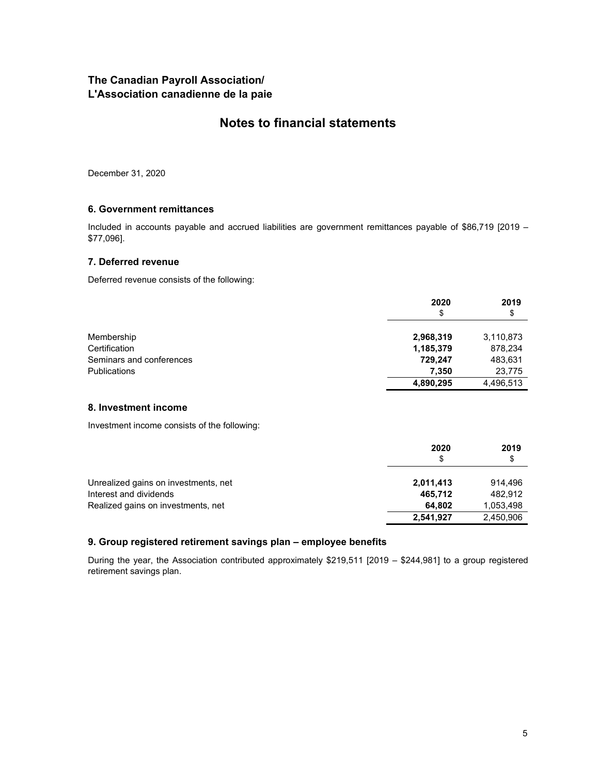## **Notes to financial statements**

December 31, 2020

## **6. Government remittances**

Included in accounts payable and accrued liabilities are government remittances payable of \$86,719 [2019 – \$77,096].

## **7. Deferred revenue**

Deferred revenue consists of the following:

|                          | 2020<br>\$ | 2019<br>\$ |
|--------------------------|------------|------------|
| Membership               | 2,968,319  | 3,110,873  |
| Certification            | 1,185,379  | 878,234    |
| Seminars and conferences | 729,247    | 483,631    |
| <b>Publications</b>      | 7.350      | 23,775     |
|                          | 4,890,295  | 4,496,513  |

## **8. Investment income**

Investment income consists of the following:

|                                      | 2020<br>\$ | 2019<br>\$ |
|--------------------------------------|------------|------------|
| Unrealized gains on investments, net | 2,011,413  | 914.496    |
| Interest and dividends               | 465,712    | 482.912    |
| Realized gains on investments, net   | 64.802     | 1,053,498  |
|                                      | 2,541,927  | 2,450,906  |

## **9. Group registered retirement savings plan – employee benefits**

During the year, the Association contributed approximately \$219,511 [2019 – \$244,981] to a group registered retirement savings plan.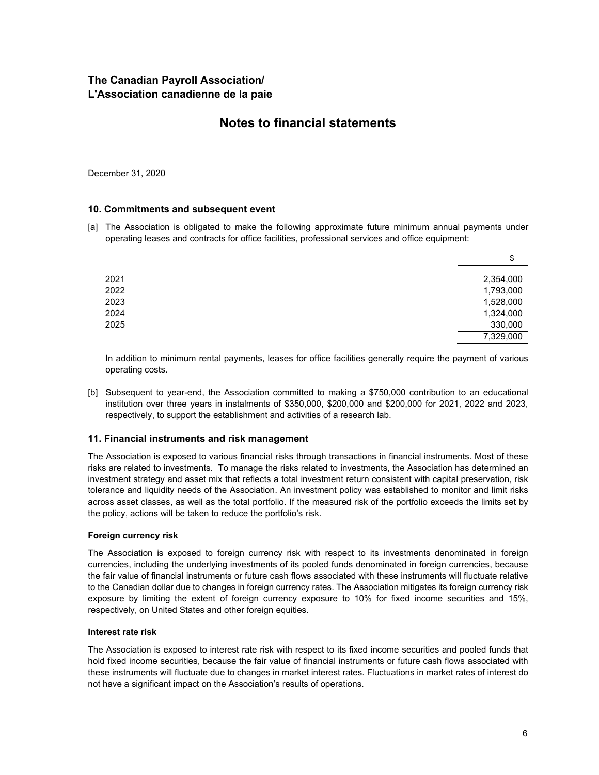## **Notes to financial statements**

December 31, 2020

## **10. Commitments and subsequent event**

[a] The Association is obligated to make the following approximate future minimum annual payments under operating leases and contracts for office facilities, professional services and office equipment:

|      | \$        |
|------|-----------|
| 2021 | 2,354,000 |
| 2022 | 1,793,000 |
| 2023 | 1,528,000 |
| 2024 | 1,324,000 |
| 2025 | 330,000   |
|      | 7,329,000 |

In addition to minimum rental payments, leases for office facilities generally require the payment of various operating costs.

[b] Subsequent to year-end, the Association committed to making a \$750,000 contribution to an educational institution over three years in instalments of \$350,000, \$200,000 and \$200,000 for 2021, 2022 and 2023, respectively, to support the establishment and activities of a research lab.

## **11. Financial instruments and risk management**

The Association is exposed to various financial risks through transactions in financial instruments. Most of these risks are related to investments. To manage the risks related to investments, the Association has determined an investment strategy and asset mix that reflects a total investment return consistent with capital preservation, risk tolerance and liquidity needs of the Association. An investment policy was established to monitor and limit risks across asset classes, as well as the total portfolio. If the measured risk of the portfolio exceeds the limits set by the policy, actions will be taken to reduce the portfolio's risk.

#### **Foreign currency risk**

The Association is exposed to foreign currency risk with respect to its investments denominated in foreign currencies, including the underlying investments of its pooled funds denominated in foreign currencies, because the fair value of financial instruments or future cash flows associated with these instruments will fluctuate relative to the Canadian dollar due to changes in foreign currency rates. The Association mitigates its foreign currency risk exposure by limiting the extent of foreign currency exposure to 10% for fixed income securities and 15%, respectively, on United States and other foreign equities.

#### **Interest rate risk**

The Association is exposed to interest rate risk with respect to its fixed income securities and pooled funds that hold fixed income securities, because the fair value of financial instruments or future cash flows associated with these instruments will fluctuate due to changes in market interest rates. Fluctuations in market rates of interest do not have a significant impact on the Association's results of operations.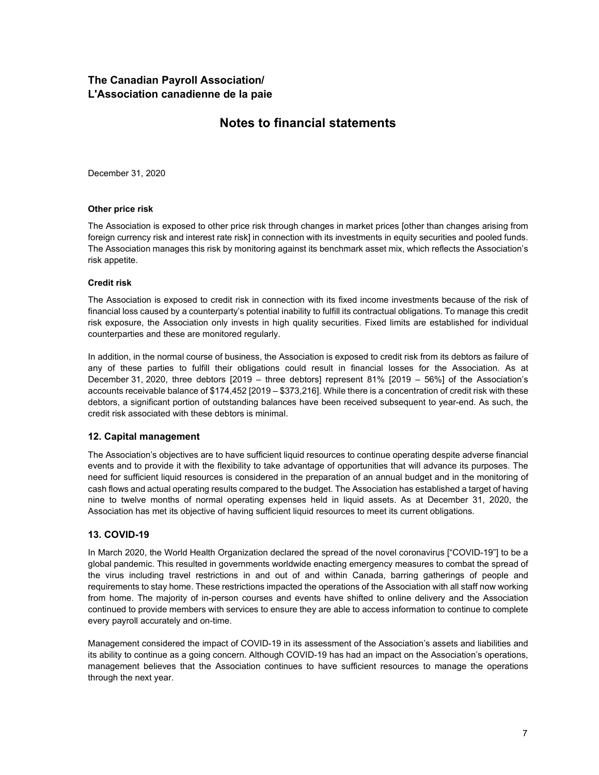## **Notes to financial statements**

December 31, 2020

#### **Other price risk**

The Association is exposed to other price risk through changes in market prices [other than changes arising from foreign currency risk and interest rate risk] in connection with its investments in equity securities and pooled funds. The Association manages this risk by monitoring against its benchmark asset mix, which reflects the Association's risk appetite.

## **Credit risk**

The Association is exposed to credit risk in connection with its fixed income investments because of the risk of financial loss caused by a counterparty's potential inability to fulfill its contractual obligations. To manage this credit risk exposure, the Association only invests in high quality securities. Fixed limits are established for individual counterparties and these are monitored regularly.

In addition, in the normal course of business, the Association is exposed to credit risk from its debtors as failure of any of these parties to fulfill their obligations could result in financial losses for the Association. As at December 31, 2020, three debtors [2019 – three debtors] represent 81% [2019 – 56%] of the Association's accounts receivable balance of \$174,452 [2019 – \$373,216]. While there is a concentration of credit risk with these debtors, a significant portion of outstanding balances have been received subsequent to year-end. As such, the credit risk associated with these debtors is minimal.

## **12. Capital management**

The Association's objectives are to have sufficient liquid resources to continue operating despite adverse financial events and to provide it with the flexibility to take advantage of opportunities that will advance its purposes. The need for sufficient liquid resources is considered in the preparation of an annual budget and in the monitoring of cash flows and actual operating results compared to the budget. The Association has established a target of having nine to twelve months of normal operating expenses held in liquid assets. As at December 31, 2020, the Association has met its objective of having sufficient liquid resources to meet its current obligations.

## **13. COVID-19**

In March 2020, the World Health Organization declared the spread of the novel coronavirus ["COVID-19"] to be a global pandemic. This resulted in governments worldwide enacting emergency measures to combat the spread of the virus including travel restrictions in and out of and within Canada, barring gatherings of people and requirements to stay home. These restrictions impacted the operations of the Association with all staff now working from home. The majority of in-person courses and events have shifted to online delivery and the Association continued to provide members with services to ensure they are able to access information to continue to complete every payroll accurately and on-time.

Management considered the impact of COVID-19 in its assessment of the Association's assets and liabilities and its ability to continue as a going concern. Although COVID-19 has had an impact on the Association's operations, management believes that the Association continues to have sufficient resources to manage the operations through the next year.